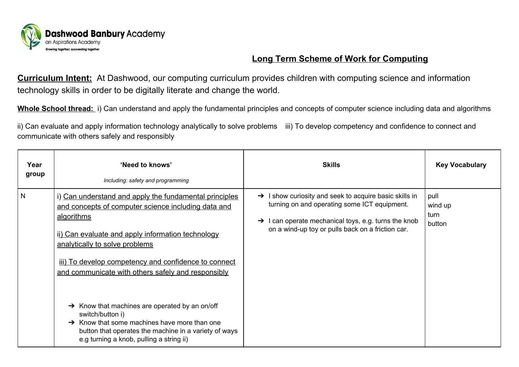

# **Long Term Scheme of Work for Computing**

**Curriculum Intent:** At Dashwood, our computing curriculum provides children with computing science and information technology skills in order to be digitally literate and change the world.

**Whole School thread:** i) Can understand and apply the fundamental principles and concepts of computer science including data and algorithms

ii) Can evaluate and apply information technology analytically to solve problems iii) To develop competency and confidence to connect and communicate with others safely and responsibly

| Year<br>group | 'Need to knows'<br>Including: safety and programming                                                                                                                                                                                                                                                                                                                                                                                                                                                                                                                  | <b>Skills</b>                                                                                                                                                                                                                               | <b>Key Vocabulary</b>             |
|---------------|-----------------------------------------------------------------------------------------------------------------------------------------------------------------------------------------------------------------------------------------------------------------------------------------------------------------------------------------------------------------------------------------------------------------------------------------------------------------------------------------------------------------------------------------------------------------------|---------------------------------------------------------------------------------------------------------------------------------------------------------------------------------------------------------------------------------------------|-----------------------------------|
| N             | i) Can understand and apply the fundamental principles<br>and concepts of computer science including data and<br>algorithms<br>ii) Can evaluate and apply information technology<br>analytically to solve problems<br>iii) To develop competency and confidence to connect<br>and communicate with others safely and responsibly<br>Know that machines are operated by an on/off<br>switch/button i)<br>$\rightarrow$ Know that some machines have more than one<br>button that operates the machine in a variety of ways<br>e.g turning a knob, pulling a string ii) | $\rightarrow$ I show curiosity and seek to acquire basic skills in<br>turning on and operating some ICT equipment.<br>$\rightarrow$ I can operate mechanical toys, e.g. turns the knob<br>on a wind-up toy or pulls back on a friction car. | pull<br>wind up<br>turn<br>button |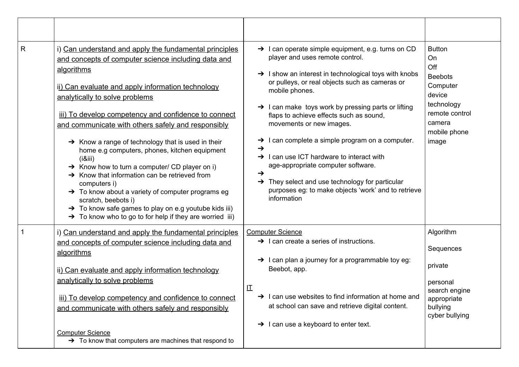| R | i) Can understand and apply the fundamental principles<br>and concepts of computer science including data and<br>algorithms<br>ii) Can evaluate and apply information technology<br>analytically to solve problems<br>iii) To develop competency and confidence to connect<br>and communicate with others safely and responsibly<br>$\rightarrow$ Know a range of technology that is used in their<br>home e.g computers, phones, kitchen equipment<br>(i8ii)<br>$\rightarrow$ Know how to turn a computer/ CD player on i)<br>$\rightarrow$ Know that information can be retrieved from<br>computers i)<br>→ To know about a variety of computer programs eg<br>scratch, beebots i)<br>$\rightarrow$ To know safe games to play on e.g youtube kids iii)<br>$\rightarrow$ To know who to go to for help if they are worried iii) | $\rightarrow$ I can operate simple equipment, e.g. turns on CD<br>player and uses remote control.<br>$\rightarrow$ I show an interest in technological toys with knobs<br>or pulleys, or real objects such as cameras or<br>mobile phones.<br>$\rightarrow$ I can make toys work by pressing parts or lifting<br>flaps to achieve effects such as sound,<br>movements or new images.<br>$\rightarrow$ I can complete a simple program on a computer.<br>→<br>I can use ICT hardware to interact with<br>$\rightarrow$<br>age-appropriate computer software.<br>$\rightarrow$<br>$\rightarrow$ They select and use technology for particular<br>purposes eg: to make objects 'work' and to retrieve<br>information | <b>Button</b><br>On<br>Off<br><b>Beebots</b><br>Computer<br>device<br>technology<br>remote control<br>camera<br>mobile phone<br>image |
|---|-----------------------------------------------------------------------------------------------------------------------------------------------------------------------------------------------------------------------------------------------------------------------------------------------------------------------------------------------------------------------------------------------------------------------------------------------------------------------------------------------------------------------------------------------------------------------------------------------------------------------------------------------------------------------------------------------------------------------------------------------------------------------------------------------------------------------------------|-------------------------------------------------------------------------------------------------------------------------------------------------------------------------------------------------------------------------------------------------------------------------------------------------------------------------------------------------------------------------------------------------------------------------------------------------------------------------------------------------------------------------------------------------------------------------------------------------------------------------------------------------------------------------------------------------------------------|---------------------------------------------------------------------------------------------------------------------------------------|
|   | i) Can understand and apply the fundamental principles<br>and concepts of computer science including data and<br>algorithms<br>ii) Can evaluate and apply information technology<br>analytically to solve problems<br>iii) To develop competency and confidence to connect<br>and communicate with others safely and responsibly<br><b>Computer Science</b><br>$\rightarrow$ To know that computers are machines that respond to                                                                                                                                                                                                                                                                                                                                                                                                  | <b>Computer Science</b><br>$\rightarrow$ 1 can create a series of instructions.<br>$\rightarrow$ I can plan a journey for a programmable toy eg:<br>Beebot, app.<br>讧<br>$\rightarrow$ I can use websites to find information at home and<br>at school can save and retrieve digital content.<br>$\rightarrow$ I can use a keyboard to enter text.                                                                                                                                                                                                                                                                                                                                                                | Algorithm<br>Sequences<br>private<br>personal<br>search engine<br>appropriate<br>bullying<br>cyber bullying                           |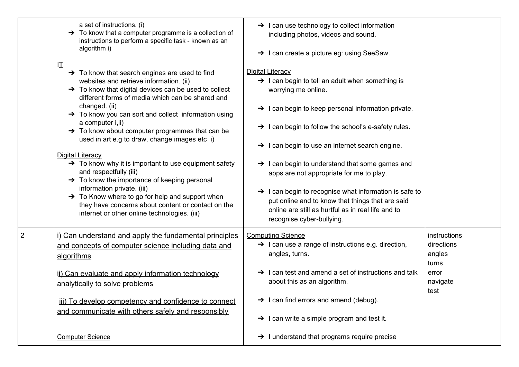|   | a set of instructions. (i)<br>$\rightarrow$ To know that a computer programme is a collection of<br>instructions to perform a specific task - known as an<br>algorithm i)<br>叿                                                                                                                                                                                                                                                                                                                                                                                                                                                                                                                                                                                                                                                                        | $\rightarrow$ I can use technology to collect information<br>including photos, videos and sound.<br>$\rightarrow$ I can create a picture eg: using SeeSaw.                                                                                                                                                                                                                                                                                                                                                                                                                                                                |                                                                            |
|---|-------------------------------------------------------------------------------------------------------------------------------------------------------------------------------------------------------------------------------------------------------------------------------------------------------------------------------------------------------------------------------------------------------------------------------------------------------------------------------------------------------------------------------------------------------------------------------------------------------------------------------------------------------------------------------------------------------------------------------------------------------------------------------------------------------------------------------------------------------|---------------------------------------------------------------------------------------------------------------------------------------------------------------------------------------------------------------------------------------------------------------------------------------------------------------------------------------------------------------------------------------------------------------------------------------------------------------------------------------------------------------------------------------------------------------------------------------------------------------------------|----------------------------------------------------------------------------|
|   | $\rightarrow$ To know that search engines are used to find<br>websites and retrieve information. (ii)<br>$\rightarrow$ To know that digital devices can be used to collect<br>different forms of media which can be shared and<br>changed. (ii)<br>→ To know you can sort and collect information using<br>a computer <i>i</i> , <i>ii</i> )<br>$\rightarrow$ To know about computer programmes that can be<br>used in art e.g to draw, change images etc i)<br><b>Digital Literacy</b><br>$\rightarrow$ To know why it is important to use equipment safety<br>and respectfully (iii)<br>$\rightarrow$ To know the importance of keeping personal<br>information private. (iii)<br>$\rightarrow$ To Know where to go for help and support when<br>they have concerns about content or contact on the<br>internet or other online technologies. (iii) | Digital Literacy<br>$\rightarrow$ I can begin to tell an adult when something is<br>worrying me online.<br>$\rightarrow$ I can begin to keep personal information private.<br>$\rightarrow$ I can begin to follow the school's e-safety rules.<br>$\rightarrow$ I can begin to use an internet search engine.<br>> I can begin to understand that some games and<br>apps are not appropriate for me to play.<br>$\rightarrow$ I can begin to recognise what information is safe to<br>put online and to know that things that are said<br>online are still as hurtful as in real life and to<br>recognise cyber-bullying. |                                                                            |
| 2 | i) Can understand and apply the fundamental principles<br>and concepts of computer science including data and<br>algorithms<br>ii) Can evaluate and apply information technology<br>analytically to solve problems<br>iii) To develop competency and confidence to connect<br>and communicate with others safely and responsibly                                                                                                                                                                                                                                                                                                                                                                                                                                                                                                                      | <b>Computing Science</b><br>$\rightarrow$ I can use a range of instructions e.g. direction,<br>angles, turns.<br>$\rightarrow$ I can test and amend a set of instructions and talk<br>about this as an algorithm.<br>$\rightarrow$ 1 can find errors and amend (debug).<br>$\rightarrow$ I can write a simple program and test it.                                                                                                                                                                                                                                                                                        | instructions<br>directions<br>angles<br>turns<br>error<br>navigate<br>test |
|   | <b>Computer Science</b>                                                                                                                                                                                                                                                                                                                                                                                                                                                                                                                                                                                                                                                                                                                                                                                                                               | $\rightarrow$ 1 understand that programs require precise                                                                                                                                                                                                                                                                                                                                                                                                                                                                                                                                                                  |                                                                            |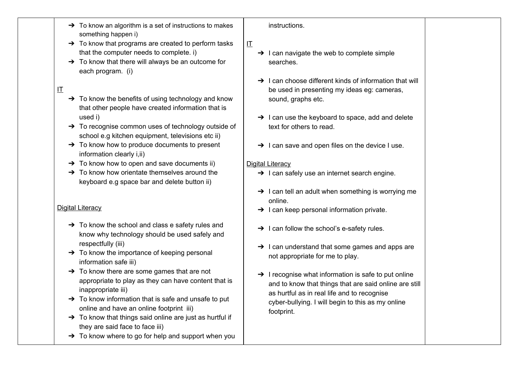- $\rightarrow$  To know an algorithm is a set of instructions to makes something happen i)
- $\rightarrow$  To know that programs are created to perform tasks that the computer needs to complete. i)
- $\rightarrow$  To know that there will always be an outcome for each program. (i)
- $\mathbf \Pi$
- $\rightarrow$  To know the benefits of using technology and know that other people have created information that is used i)
- ➔ To recognise common uses of technology outside of school e.g kitchen equipment, televisions etc ii)
- $\rightarrow$  To know how to produce documents to present information clearly i,ii)
- $\rightarrow$  To know how to open and save documents ii)
- $\rightarrow$  To know how orientate themselves around the keyboard e.g space bar and delete button ii)

### Digital Literacy

- $\rightarrow$  To know the school and class e safety rules and know why technology should be used safely and respectfully (iii)
- $\rightarrow$  To know the importance of keeping personal information safe iii)
- $\rightarrow$  To know there are some games that are not appropriate to play as they can have content that is inappropriate iii)
- $\rightarrow$  To know information that is safe and unsafe to put online and have an online footprint iii)
- $\rightarrow$  To know that things said online are just as hurtful if they are said face to face iii)
- $\rightarrow$  To know where to go for help and support when you

#### instructions.

IT

- $\rightarrow$  I can navigate the web to complete simple searches.
- $\rightarrow$  I can choose different kinds of information that will be used in presenting my ideas eg: cameras, sound, graphs etc.
- $\rightarrow$  I can use the keyboard to space, add and delete text for others to read.
- $\rightarrow$  I can save and open files on the device I use.

### Digital Literacy

- $\rightarrow$  I can safely use an internet search engine.
- $\rightarrow$  I can tell an adult when something is worrying me online.
- $\rightarrow$  I can keep personal information private.
- $\rightarrow$  I can follow the school's e-safety rules.
- $\rightarrow$  I can understand that some games and apps are not appropriate for me to play.
- $\rightarrow$  I recognise what information is safe to put online and to know that things that are said online are still as hurtful as in real life and to recognise cyber-bullying. I will begin to this as my online footprint.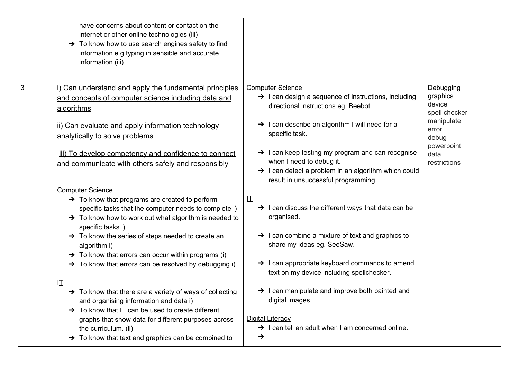|   | have concerns about content or contact on the<br>internet or other online technologies (iii)<br>→ To know how to use search engines safety to find<br>information e.g typing in sensible and accurate<br>information (iii)                                                                                                                                                                                                                                                                                                                                                                                                                                                                                                                                                                                   |                                                                                                                                                                                                                                                                                                                                                                                                                                                                                 |                                                                                                                        |
|---|--------------------------------------------------------------------------------------------------------------------------------------------------------------------------------------------------------------------------------------------------------------------------------------------------------------------------------------------------------------------------------------------------------------------------------------------------------------------------------------------------------------------------------------------------------------------------------------------------------------------------------------------------------------------------------------------------------------------------------------------------------------------------------------------------------------|---------------------------------------------------------------------------------------------------------------------------------------------------------------------------------------------------------------------------------------------------------------------------------------------------------------------------------------------------------------------------------------------------------------------------------------------------------------------------------|------------------------------------------------------------------------------------------------------------------------|
| 3 | i) Can understand and apply the fundamental principles<br>and concepts of computer science including data and<br>algorithms<br>ii) Can evaluate and apply information technology<br>analytically to solve problems<br>iii) To develop competency and confidence to connect<br>and communicate with others safely and responsibly                                                                                                                                                                                                                                                                                                                                                                                                                                                                             | <b>Computer Science</b><br>$\rightarrow$ I can design a sequence of instructions, including<br>directional instructions eg. Beebot.<br>$\rightarrow$ I can describe an algorithm I will need for a<br>specific task.<br>$\rightarrow$ I can keep testing my program and can recognise<br>when I need to debug it.<br>$\rightarrow$ I can detect a problem in an algorithm which could<br>result in unsuccessful programming.                                                    | Debugging<br>graphics<br>device<br>spell checker<br>manipulate<br>error<br>debug<br>powerpoint<br>data<br>restrictions |
|   | <b>Computer Science</b><br>$\rightarrow$ To know that programs are created to perform<br>specific tasks that the computer needs to complete i)<br>$\rightarrow$ To know how to work out what algorithm is needed to<br>specific tasks i)<br>$\rightarrow$ To know the series of steps needed to create an<br>algorithm i)<br>$\rightarrow$ To know that errors can occur within programs (i)<br>$\rightarrow$ To know that errors can be resolved by debugging i)<br>ΙI<br>$\rightarrow$ To know that there are a variety of ways of collecting<br>and organising information and data i)<br>$\rightarrow$ To know that IT can be used to create different<br>graphs that show data for different purposes across<br>the curriculum. (ii)<br>$\rightarrow$ To know that text and graphics can be combined to | 江<br>$\rightarrow$ I can discuss the different ways that data can be<br>organised.<br>$\rightarrow$ I can combine a mixture of text and graphics to<br>share my ideas eg. SeeSaw.<br>> I can appropriate keyboard commands to amend<br>text on my device including spellchecker.<br>$\rightarrow$ I can manipulate and improve both painted and<br>digital images.<br><b>Digital Literacy</b><br>$\rightarrow$ I can tell an adult when I am concerned online.<br>$\rightarrow$ |                                                                                                                        |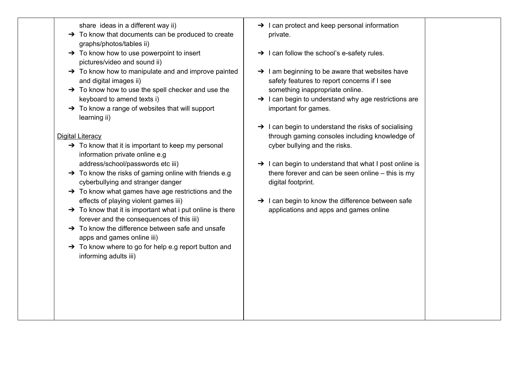share ideas in a different way ii)

- $\rightarrow$  To know that documents can be produced to create graphs/photos/tables ii)
- $\rightarrow$  To know how to use powerpoint to insert pictures/video and sound ii)
- $\rightarrow$  To know how to manipulate and and improve painted and digital images ii)
- $\rightarrow$  To know how to use the spell checker and use the keyboard to amend texts i)
- $\rightarrow$  To know a range of websites that will support learning ii)

### Digital Literacy

- $\rightarrow$  To know that it is important to keep my personal information private online e.g address/school/passwords etc iii)
- $\rightarrow$  To know the risks of gaming online with friends e.g cyberbullying and stranger danger
- $\rightarrow$  To know what games have age restrictions and the effects of playing violent games iii)
- $\rightarrow$  To know that it is important what i put online is there forever and the consequences of this iii)
- $\rightarrow$  To know the difference between safe and unsafe apps and games online iii)
- $\rightarrow$  To know where to go for help e.g report button and informing adults iii)
- $\rightarrow$  I can protect and keep personal information private.
- $\rightarrow$  I can follow the school's e-safety rules.
- $\rightarrow$  1 am beginning to be aware that websites have safety features to report concerns if I see something inappropriate online.
- $\rightarrow$  I can begin to understand why age restrictions are important for games.
- $\rightarrow$  I can begin to understand the risks of socialising through gaming consoles including knowledge of cyber bullying and the risks.
- $\rightarrow$  I can begin to understand that what I post online is there forever and can be seen online – this is my digital footprint.
- $\rightarrow$  I can begin to know the difference between safe applications and apps and games online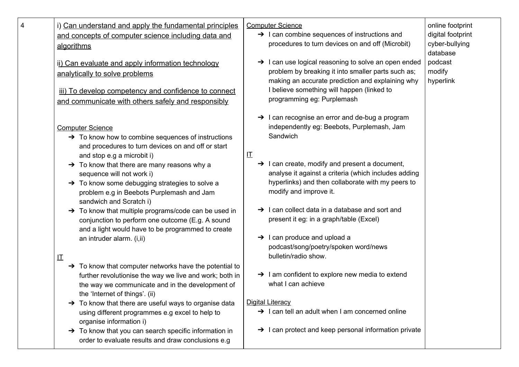| i) Can understand and apply the fundamental principles<br>and concepts of computer science including data and | $\rightarrow$ I can combine sequences of instructions and                                              | digital footprint          |
|---------------------------------------------------------------------------------------------------------------|--------------------------------------------------------------------------------------------------------|----------------------------|
|                                                                                                               |                                                                                                        |                            |
| algorithms                                                                                                    | procedures to turn devices on and off (Microbit)                                                       | cyber-bullying<br>database |
| ii) Can evaluate and apply information technology                                                             | > I can use logical reasoning to solve an open ended                                                   | podcast                    |
| analytically to solve problems                                                                                | problem by breaking it into smaller parts such as;<br>making an accurate prediction and explaining why | modify<br>hyperlink        |
| iii) To develop competency and confidence to connect                                                          | I believe something will happen (linked to                                                             |                            |
| and communicate with others safely and responsibly                                                            | programming eg: Purplemash                                                                             |                            |
|                                                                                                               | $\rightarrow$ I can recognise an error and de-bug a program                                            |                            |
| <b>Computer Science</b>                                                                                       | independently eg: Beebots, Purplemash, Jam<br>Sandwich                                                 |                            |
| $\rightarrow$ To know how to combine sequences of instructions                                                |                                                                                                        |                            |
| and procedures to turn devices on and off or start<br>and stop e.g a microbit i)                              | 圧                                                                                                      |                            |
| $\rightarrow$ To know that there are many reasons why a                                                       | $\rightarrow$ I can create, modify and present a document,                                             |                            |
| sequence will not work i)                                                                                     | analyse it against a criteria (which includes adding                                                   |                            |
| $\rightarrow$ To know some debugging strategies to solve a                                                    | hyperlinks) and then collaborate with my peers to                                                      |                            |
| problem e.g in Beebots Purplemash and Jam                                                                     | modify and improve it.                                                                                 |                            |
| sandwich and Scratch i)                                                                                       |                                                                                                        |                            |
| > To know that multiple programs/code can be used in                                                          | $\rightarrow$ I can collect data in a database and sort and                                            |                            |
| conjunction to perform one outcome (E.g. A sound                                                              | present it eg: in a graph/table (Excel)                                                                |                            |
| and a light would have to be programmed to create                                                             | $\rightarrow$ I can produce and upload a                                                               |                            |
| an intruder alarm. (i, ii)                                                                                    | podcast/song/poetry/spoken word/news                                                                   |                            |
| 讧                                                                                                             | bulletin/radio show.                                                                                   |                            |
| $\rightarrow$ To know that computer networks have the potential to                                            |                                                                                                        |                            |
| further revolutionise the way we live and work; both in                                                       | $\rightarrow$ 1 am confident to explore new media to extend                                            |                            |
| the way we communicate and in the development of                                                              | what I can achieve                                                                                     |                            |
| the 'Internet of things'. (ii)                                                                                |                                                                                                        |                            |
| $\rightarrow$ To know that there are useful ways to organise data                                             | <b>Digital Literacy</b>                                                                                |                            |
| using different programmes e.g excel to help to<br>organise information i)                                    | $\rightarrow$ I can tell an adult when I am concerned online                                           |                            |
| $\rightarrow$ To know that you can search specific information in                                             | $\rightarrow$ I can protect and keep personal information private                                      |                            |
| order to evaluate results and draw conclusions e.g                                                            |                                                                                                        |                            |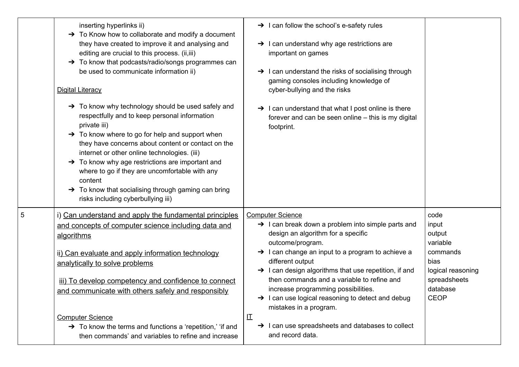|   | inserting hyperlinks ii)<br>$\rightarrow$ To Know how to collaborate and modify a document<br>they have created to improve it and analysing and<br>editing are crucial to this process. (ii, iii)<br>$\rightarrow$ To know that podcasts/radio/songs programmes can<br>be used to communicate information ii)<br><b>Digital Literacy</b><br>→ To know why technology should be used safely and<br>respectfully and to keep personal information<br>private iii)<br>$\rightarrow$ To know where to go for help and support when<br>they have concerns about content or contact on the<br>internet or other online technologies. (iii)<br>$\rightarrow$ To know why age restrictions are important and<br>where to go if they are uncomfortable with any<br>content<br>$\rightarrow$ To know that socialising through gaming can bring<br>risks including cyberbullying iii) | $\rightarrow$ I can follow the school's e-safety rules<br>$\rightarrow$ I can understand why age restrictions are<br>important on games<br>$\rightarrow$ I can understand the risks of socialising through<br>gaming consoles including knowledge of<br>cyber-bullying and the risks<br>$\rightarrow$ I can understand that what I post online is there<br>forever and can be seen online - this is my digital<br>footprint.                                                                                                                                        |                                                                                                                         |
|---|----------------------------------------------------------------------------------------------------------------------------------------------------------------------------------------------------------------------------------------------------------------------------------------------------------------------------------------------------------------------------------------------------------------------------------------------------------------------------------------------------------------------------------------------------------------------------------------------------------------------------------------------------------------------------------------------------------------------------------------------------------------------------------------------------------------------------------------------------------------------------|---------------------------------------------------------------------------------------------------------------------------------------------------------------------------------------------------------------------------------------------------------------------------------------------------------------------------------------------------------------------------------------------------------------------------------------------------------------------------------------------------------------------------------------------------------------------|-------------------------------------------------------------------------------------------------------------------------|
| 5 | i) Can understand and apply the fundamental principles<br>and concepts of computer science including data and<br>algorithms<br>ii) Can evaluate and apply information technology<br>analytically to solve problems<br>iii) To develop competency and confidence to connect<br>and communicate with others safely and responsibly<br><b>Computer Science</b>                                                                                                                                                                                                                                                                                                                                                                                                                                                                                                                | <b>Computer Science</b><br>$\rightarrow$ I can break down a problem into simple parts and<br>design an algorithm for a specific<br>outcome/program.<br>$\rightarrow$ I can change an input to a program to achieve a<br>different output<br>$\rightarrow$ I can design algorithms that use repetition, if and<br>then commands and a variable to refine and<br>increase programming possibilities.<br>$\rightarrow$ I can use logical reasoning to detect and debug<br>mistakes in a program.<br>江<br>$\rightarrow$ I can use spreadsheets and databases to collect | code<br>input<br>output<br>variable<br>commands<br>bias<br>logical reasoning<br>spreadsheets<br>database<br><b>CEOP</b> |
|   | $\rightarrow$ To know the terms and functions a 'repetition,' 'if and<br>then commands' and variables to refine and increase                                                                                                                                                                                                                                                                                                                                                                                                                                                                                                                                                                                                                                                                                                                                               | and record data.                                                                                                                                                                                                                                                                                                                                                                                                                                                                                                                                                    |                                                                                                                         |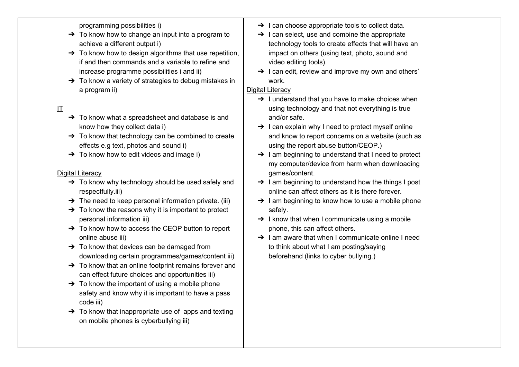programming possibilities i)

- $\rightarrow$  To know how to change an input into a program to achieve a different output i)
- $\rightarrow$  To know how to design algorithms that use repetition. if and then commands and a variable to refine and increase programme possibilities i and ii)
- $\rightarrow$  To know a variety of strategies to debug mistakes in a program ii)

## IT

- $\rightarrow$  To know what a spreadsheet and database is and know how they collect data i)
- $\rightarrow$  To know that technology can be combined to create effects e.g text, photos and sound i)
- $\rightarrow$  To know how to edit videos and image i)

#### Digital Literacy

- → To know why technology should be used safely and respectfully.iii)
- $\rightarrow$  The need to keep personal information private. (iii)
- $\rightarrow$  To know the reasons why it is important to protect personal information iii)
- ➔ To know how to access the CEOP button to report online abuse iii)
- $\rightarrow$  To know that devices can be damaged from downloading certain programmes/games/content iii)
- → To know that an online footprint remains forever and can effect future choices and opportunities iii)
- $\rightarrow$  To know the important of using a mobile phone safety and know why it is important to have a pass code iii)
- $\rightarrow$  To know that inappropriate use of apps and texting on mobile phones is cyberbullying iii)
- $\rightarrow$  I can choose appropriate tools to collect data.
- $\rightarrow$  I can select, use and combine the appropriate technology tools to create effects that will have an impact on others (using text, photo, sound and video editing tools).
- $\rightarrow$  I can edit, review and improve my own and others' work.

#### Digital Literacy

- $\rightarrow$  I understand that you have to make choices when using technology and that not everything is true and/or safe.
- $\rightarrow$  I can explain why I need to protect myself online and know to report concerns on a website (such as using the report abuse button/CEOP.)
- $\rightarrow$  I am beginning to understand that I need to protect my computer/device from harm when downloading games/content.
- ➔ I am beginning to understand how the things I post online can affect others as it is there forever.
- $\rightarrow$  1 am beginning to know how to use a mobile phone safely.
- $\rightarrow$  I know that when I communicate using a mobile phone, this can affect others.
- **→** I am aware that when I communicate online I need to think about what I am posting/saying beforehand (links to cyber bullying.)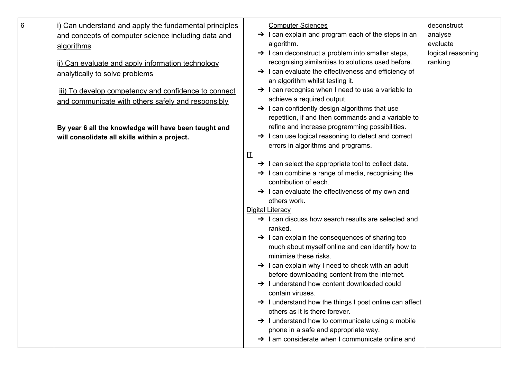| 6 | i) Can understand and apply the fundamental principles<br>and concepts of computer science including data and<br>algorithms<br>ii) Can evaluate and apply information technology<br>analytically to solve problems<br>iii) To develop competency and confidence to connect<br>and communicate with others safely and responsibly | <b>Computer Sciences</b><br>$\rightarrow$ I can explain and program each of the steps in an<br>algorithm.<br>$\rightarrow$ I can deconstruct a problem into smaller steps,<br>recognising similarities to solutions used before.<br>$\rightarrow$ I can evaluate the effectiveness and efficiency of<br>an algorithm whilst testing it.<br>$\rightarrow$ I can recognise when I need to use a variable to<br>achieve a required output.<br>$\rightarrow$ I can confidently design algorithms that use<br>repetition, if and then commands and a variable to                                                                                                                                                                                                                                                             | deconstruct<br>analyse<br>evaluate<br>logical reasoning<br>ranking |
|---|----------------------------------------------------------------------------------------------------------------------------------------------------------------------------------------------------------------------------------------------------------------------------------------------------------------------------------|-------------------------------------------------------------------------------------------------------------------------------------------------------------------------------------------------------------------------------------------------------------------------------------------------------------------------------------------------------------------------------------------------------------------------------------------------------------------------------------------------------------------------------------------------------------------------------------------------------------------------------------------------------------------------------------------------------------------------------------------------------------------------------------------------------------------------|--------------------------------------------------------------------|
|   | By year 6 all the knowledge will have been taught and<br>will consolidate all skills within a project.                                                                                                                                                                                                                           | refine and increase programming possibilities.<br>$\rightarrow$ I can use logical reasoning to detect and correct<br>errors in algorithms and programs.<br>圧<br>$\rightarrow$ I can select the appropriate tool to collect data.<br>$\rightarrow$ I can combine a range of media, recognising the<br>contribution of each.<br>$\rightarrow$ I can evaluate the effectiveness of my own and<br>others work.<br>Digital Literacy<br>$\rightarrow$ I can discuss how search results are selected and<br>ranked.<br>$\rightarrow$ I can explain the consequences of sharing too<br>much about myself online and can identify how to<br>minimise these risks.<br>$\rightarrow$ I can explain why I need to check with an adult<br>before downloading content from the internet.<br>I understand how content downloaded could |                                                                    |
|   |                                                                                                                                                                                                                                                                                                                                  | contain viruses.<br>→ I understand how the things I post online can affect<br>others as it is there forever.<br>$\rightarrow$ 1 understand how to communicate using a mobile<br>phone in a safe and appropriate way.<br>I am considerate when I communicate online and                                                                                                                                                                                                                                                                                                                                                                                                                                                                                                                                                  |                                                                    |